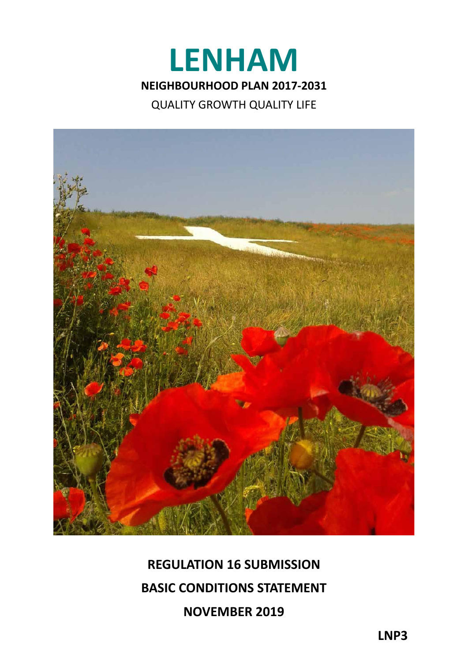# **LENHAM NEIGHBOURHOOD PLAN 2017-2031**

QUALITY GROWTH QUALITY LIFE



**REGULATION 16 SUBMISSION BASIC CONDITIONS STATEMENT NOVEMBER 2019**

**EXPERIMENT CONTROL**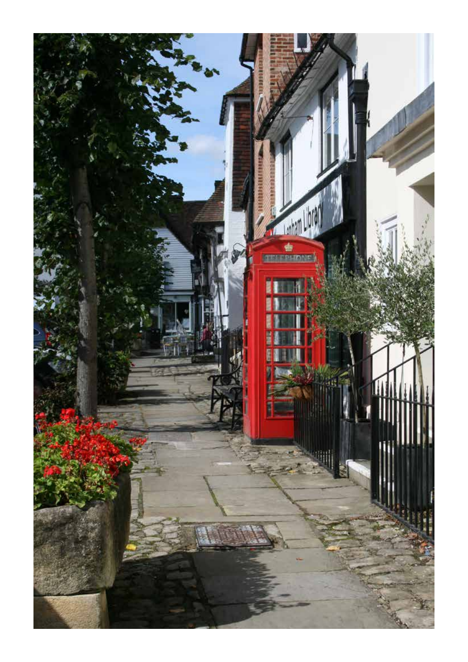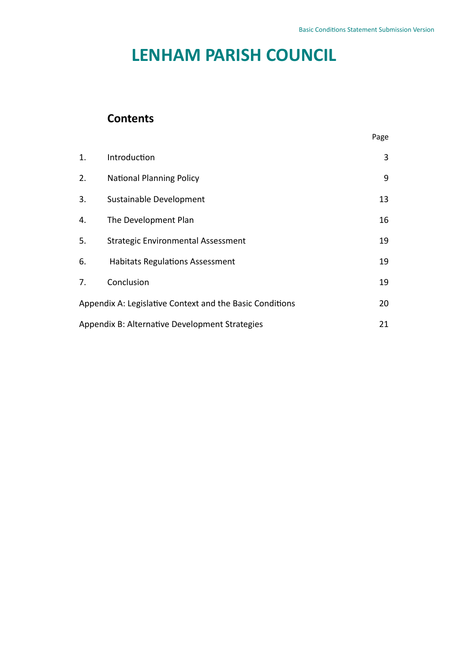## **LENHAM PARISH COUNCIL**

## **Contents**

|                                                                |                                           | Page |  |
|----------------------------------------------------------------|-------------------------------------------|------|--|
| 1.                                                             | Introduction                              | 3    |  |
| 2.                                                             | <b>National Planning Policy</b>           | 9    |  |
| 3.                                                             | Sustainable Development                   | 13   |  |
| 4.                                                             | The Development Plan                      | 16   |  |
| 5.                                                             | <b>Strategic Environmental Assessment</b> | 19   |  |
| 6.                                                             | <b>Habitats Regulations Assessment</b>    | 19   |  |
| 7.                                                             | Conclusion                                | 19   |  |
| 20<br>Appendix A: Legislative Context and the Basic Conditions |                                           |      |  |
| Appendix B: Alternative Development Strategies<br>21           |                                           |      |  |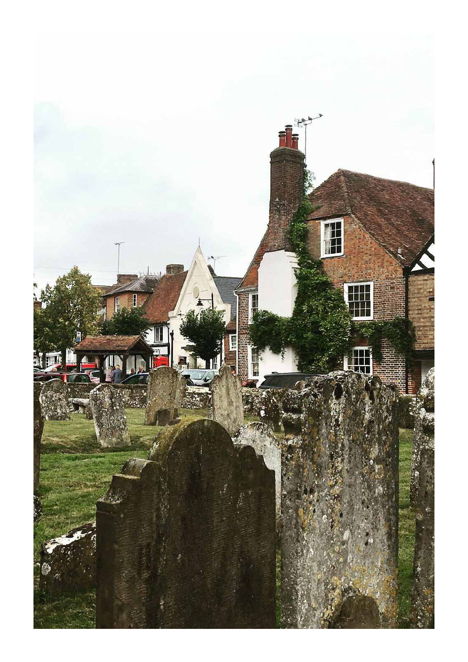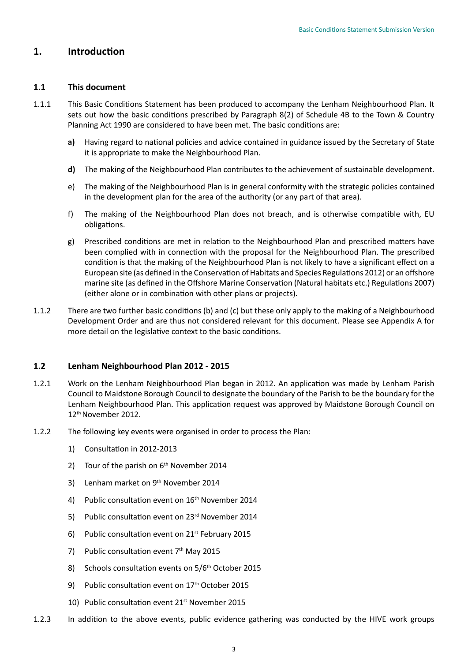## **1. Introduction**

#### **1.1 This document**

- 1.1.1 This Basic Conditions Statement has been produced to accompany the Lenham Neighbourhood Plan. It sets out how the basic conditions prescribed by Paragraph 8(2) of Schedule 4B to the Town & Country Planning Act 1990 are considered to have been met. The basic conditions are:
	- **a)** Having regard to national policies and advice contained in guidance issued by the Secretary of State it is appropriate to make the Neighbourhood Plan.
	- **d)** The making of the Neighbourhood Plan contributes to the achievement of sustainable development.
	- e) The making of the Neighbourhood Plan is in general conformity with the strategic policies contained in the development plan for the area of the authority (or any part of that area).
	- f) The making of the Neighbourhood Plan does not breach, and is otherwise compatible with, EU obligations.
	- g) Prescribed conditions are met in relation to the Neighbourhood Plan and prescribed matters have been complied with in connection with the proposal for the Neighbourhood Plan. The prescribed condition is that the making of the Neighbourhood Plan is not likely to have a significant effect on a European site (as defined in the Conservation of Habitats and Species Regulations 2012) or an offshore marine site (as defined in the Offshore Marine Conservation (Natural habitats etc.) Regulations 2007) (either alone or in combination with other plans or projects).
- 1.1.2 There are two further basic conditions (b) and (c) but these only apply to the making of a Neighbourhood Development Order and are thus not considered relevant for this document. Please see Appendix A for more detail on the legislative context to the basic conditions.

#### **1.2 Lenham Neighbourhood Plan 2012 - 2015**

- 1.2.1 Work on the Lenham Neighbourhood Plan began in 2012. An application was made by Lenham Parish Council to Maidstone Borough Council to designate the boundary of the Parish to be the boundary for the Lenham Neighbourhood Plan. This application request was approved by Maidstone Borough Council on 12th November 2012.
- 1.2.2 The following key events were organised in order to process the Plan:
	- 1) Consultation in 2012-2013
	- 2) Tour of the parish on  $6<sup>th</sup>$  November 2014
	- 3) Lenham market on 9<sup>th</sup> November 2014
	- 4) Public consultation event on 16<sup>th</sup> November 2014
	- 5) Public consultation event on 23<sup>rd</sup> November 2014
	- 6) Public consultation event on  $21^{st}$  February 2015
	- 7) Public consultation event 7<sup>th</sup> May 2015
	- 8) Schools consultation events on 5/6<sup>th</sup> October 2015
	- 9) Public consultation event on 17<sup>th</sup> October 2015
	- 10) Public consultation event 21<sup>st</sup> November 2015
- 1.2.3 In addition to the above events, public evidence gathering was conducted by the HIVE work groups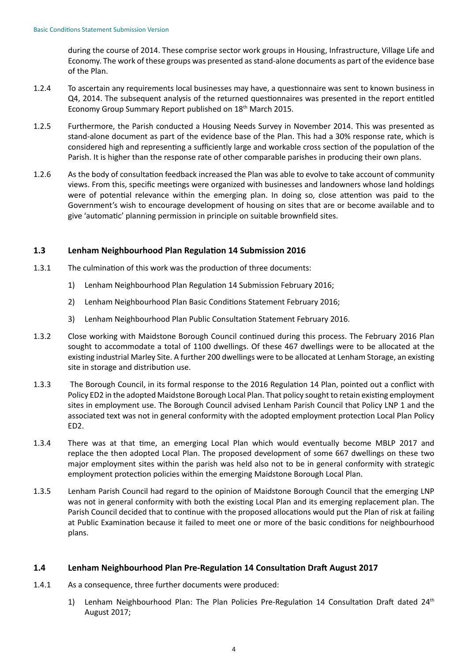during the course of 2014. These comprise sector work groups in Housing, Infrastructure, Village Life and Economy. The work of these groups was presented as stand-alone documents as part of the evidence base of the Plan.

- 1.2.4 To ascertain any requirements local businesses may have, a questionnaire was sent to known business in Q4, 2014. The subsequent analysis of the returned questionnaires was presented in the report entitled Economy Group Summary Report published on 18<sup>th</sup> March 2015.
- 1.2.5 Furthermore, the Parish conducted a Housing Needs Survey in November 2014. This was presented as stand-alone document as part of the evidence base of the Plan. This had a 30% response rate, which is considered high and representing a sufficiently large and workable cross section of the population of the Parish. It is higher than the response rate of other comparable parishes in producing their own plans.
- 1.2.6 As the body of consultation feedback increased the Plan was able to evolve to take account of community views. From this, specific meetings were organized with businesses and landowners whose land holdings were of potential relevance within the emerging plan. In doing so, close attention was paid to the Government's wish to encourage development of housing on sites that are or become available and to give 'automatic' planning permission in principle on suitable brownfield sites.

## **1.3 Lenham Neighbourhood Plan Regulation 14 Submission 2016**

- 1.3.1 The culmination of this work was the production of three documents:
	- 1) Lenham Neighbourhood Plan Regulation 14 Submission February 2016;
	- 2) Lenham Neighbourhood Plan Basic Conditions Statement February 2016;
	- 3) Lenham Neighbourhood Plan Public Consultation Statement February 2016.
- 1.3.2 Close working with Maidstone Borough Council continued during this process. The February 2016 Plan sought to accommodate a total of 1100 dwellings. Of these 467 dwellings were to be allocated at the existing industrial Marley Site. A further 200 dwellings were to be allocated at Lenham Storage, an existing site in storage and distribution use.
- 1.3.3 The Borough Council, in its formal response to the 2016 Regulation 14 Plan, pointed out a conflict with Policy ED2 in the adopted Maidstone Borough Local Plan. That policy sought to retain existing employment sites in employment use. The Borough Council advised Lenham Parish Council that Policy LNP 1 and the associated text was not in general conformity with the adopted employment protection Local Plan Policy ED2.
- 1.3.4 There was at that time, an emerging Local Plan which would eventually become MBLP 2017 and replace the then adopted Local Plan. The proposed development of some 667 dwellings on these two major employment sites within the parish was held also not to be in general conformity with strategic employment protection policies within the emerging Maidstone Borough Local Plan.
- 1.3.5 Lenham Parish Council had regard to the opinion of Maidstone Borough Council that the emerging LNP was not in general conformity with both the existing Local Plan and its emerging replacement plan. The Parish Council decided that to continue with the proposed allocations would put the Plan of risk at failing at Public Examination because it failed to meet one or more of the basic conditions for neighbourhood plans.

## **1.4 Lenham Neighbourhood Plan Pre-Regulation 14 Consultation Draft August 2017**

- 1.4.1 As a consequence, three further documents were produced:
	- 1) Lenham Neighbourhood Plan: The Plan Policies Pre-Regulation 14 Consultation Draft dated  $24<sup>th</sup>$ August 2017;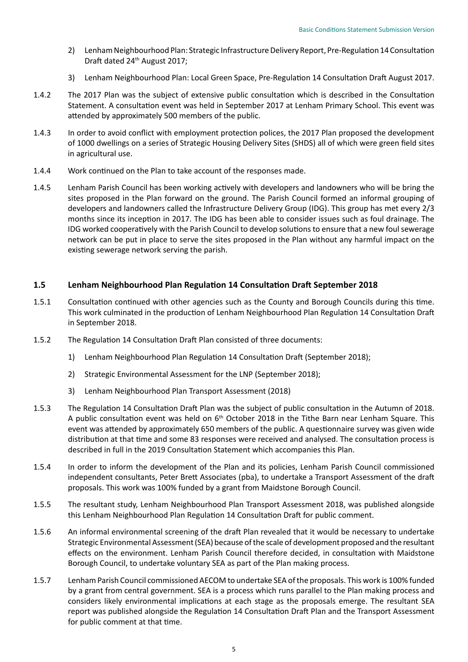- 2) Lenham Neighbourhood Plan: Strategic Infrastructure Delivery Report, Pre-Regulation 14 Consultation Draft dated 24<sup>th</sup> August 2017;
- 3) Lenham Neighbourhood Plan: Local Green Space, Pre-Regulation 14 Consultation Draft August 2017.
- 1.4.2 The 2017 Plan was the subject of extensive public consultation which is described in the Consultation Statement. A consultation event was held in September 2017 at Lenham Primary School. This event was attended by approximately 500 members of the public.
- 1.4.3 In order to avoid conflict with employment protection polices, the 2017 Plan proposed the development of 1000 dwellings on a series of Strategic Housing Delivery Sites (SHDS) all of which were green field sites in agricultural use.
- 1.4.4 Work continued on the Plan to take account of the responses made.
- 1.4.5 Lenham Parish Council has been working actively with developers and landowners who will be bring the sites proposed in the Plan forward on the ground. The Parish Council formed an informal grouping of developers and landowners called the Infrastructure Delivery Group (IDG). This group has met every 2/3 months since its inception in 2017. The IDG has been able to consider issues such as foul drainage. The IDG worked cooperatively with the Parish Council to develop solutionsto ensure that a new foulsewerage network can be put in place to serve the sites proposed in the Plan without any harmful impact on the existing sewerage network serving the parish.

## **1.5 Lenham Neighbourhood Plan Regulation 14 Consultation Draft September 2018**

- 1.5.1 Consultation continued with other agencies such as the County and Borough Councils during this time. This work culminated in the production of Lenham Neighbourhood Plan Regulation 14 Consultation Draft in September 2018.
- 1.5.2 The Regulation 14 Consultation Draft Plan consisted of three documents:
	- 1) Lenham Neighbourhood Plan Regulation 14 Consultation Draft (September 2018);
	- 2) Strategic Environmental Assessment for the LNP (September 2018);
	- 3) Lenham Neighbourhood Plan Transport Assessment (2018)
- 1.5.3 The Regulation 14 Consultation Draft Plan was the subject of public consultation in the Autumn of 2018. A public consultation event was held on  $6<sup>th</sup>$  October 2018 in the Tithe Barn near Lenham Square. This event was attended by approximately 650 members of the public. A questionnaire survey was given wide distribution at that time and some 83 responses were received and analysed. The consultation process is described in full in the 2019 Consultation Statement which accompanies this Plan.
- 1.5.4 In order to inform the development of the Plan and its policies, Lenham Parish Council commissioned independent consultants, Peter Brett Associates (pba), to undertake a Transport Assessment of the draft proposals. This work was 100% funded by a grant from Maidstone Borough Council.
- 1.5.5 The resultant study, Lenham Neighbourhood Plan Transport Assessment 2018, was published alongside this Lenham Neighbourhood Plan Regulation 14 Consultation Draft for public comment.
- 1.5.6 An informal environmental screening of the draft Plan revealed that it would be necessary to undertake Strategic Environmental Assessment(SEA) because ofthe scale of development proposed and the resultant effects on the environment. Lenham Parish Council therefore decided, in consultation with Maidstone Borough Council, to undertake voluntary SEA as part of the Plan making process.
- 1.5.7 Lenham Parish Council commissioned AECOM to undertake SEA ofthe proposals. This work is 100% funded by a grant from central government. SEA is a process which runs parallel to the Plan making process and considers likely environmental implications at each stage as the proposals emerge. The resultant SEA report was published alongside the Regulation 14 Consultation Draft Plan and the Transport Assessment for public comment at that time.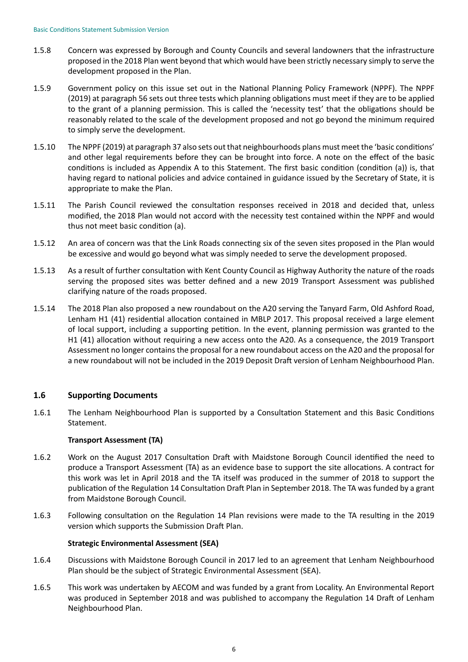- 1.5.8 Concern was expressed by Borough and County Councils and several landowners that the infrastructure proposed in the 2018 Plan went beyond that which would have been strictly necessary simply to serve the development proposed in the Plan.
- 1.5.9 Government policy on this issue set out in the National Planning Policy Framework (NPPF). The NPPF (2019) at paragraph 56 sets out three tests which planning obligations must meet if they are to be applied to the grant of a planning permission. This is called the 'necessity test' that the obligations should be reasonably related to the scale of the development proposed and not go beyond the minimum required to simply serve the development.
- 1.5.10 The NPPF (2019) at paragraph 37 also sets out that neighbourhoods plans must meet the 'basic conditions' and other legal requirements before they can be brought into force. A note on the effect of the basic conditions is included as Appendix A to this Statement. The first basic condition (condition (a)) is, that having regard to national policies and advice contained in guidance issued by the Secretary of State, it is appropriate to make the Plan.
- 1.5.11 The Parish Council reviewed the consultation responses received in 2018 and decided that, unless modified, the 2018 Plan would not accord with the necessity test contained within the NPPF and would thus not meet basic condition (a).
- 1.5.12 An area of concern was that the Link Roads connecting six of the seven sites proposed in the Plan would be excessive and would go beyond what was simply needed to serve the development proposed.
- 1.5.13 As a result of further consultation with Kent County Council as Highway Authority the nature of the roads serving the proposed sites was better defined and a new 2019 Transport Assessment was published clarifying nature of the roads proposed.
- 1.5.14 The 2018 Plan also proposed a new roundabout on the A20 serving the Tanyard Farm, Old Ashford Road, Lenham H1 (41) residential allocation contained in MBLP 2017. This proposal received a large element of local support, including a supporting petition. In the event, planning permission was granted to the H1 (41) allocation without requiring a new access onto the A20. As a consequence, the 2019 Transport Assessment no longer containsthe proposal for a new roundabout access on the A20 and the proposal for a new roundabout will not be included in the 2019 Deposit Draft version of Lenham Neighbourhood Plan.

## **1.6 Supporting Documents**

1.6.1 The Lenham Neighbourhood Plan is supported by a Consultation Statement and this Basic Conditions Statement.

#### **Transport Assessment (TA)**

- 1.6.2 Work on the August 2017 Consultation Draft with Maidstone Borough Council identified the need to produce a Transport Assessment (TA) as an evidence base to support the site allocations. A contract for this work was let in April 2018 and the TA itself was produced in the summer of 2018 to support the publication of the Regulation 14 Consultation Draft Plan in September 2018. The TA was funded by a grant from Maidstone Borough Council.
- 1.6.3 Following consultation on the Regulation 14 Plan revisions were made to the TA resulting in the 2019 version which supports the Submission Draft Plan.

#### **Strategic Environmental Assessment (SEA)**

- 1.6.4 Discussions with Maidstone Borough Council in 2017 led to an agreement that Lenham Neighbourhood Plan should be the subject of Strategic Environmental Assessment (SEA).
- 1.6.5 This work was undertaken by AECOM and was funded by a grant from Locality. An Environmental Report was produced in September 2018 and was published to accompany the Regulation 14 Draft of Lenham Neighbourhood Plan.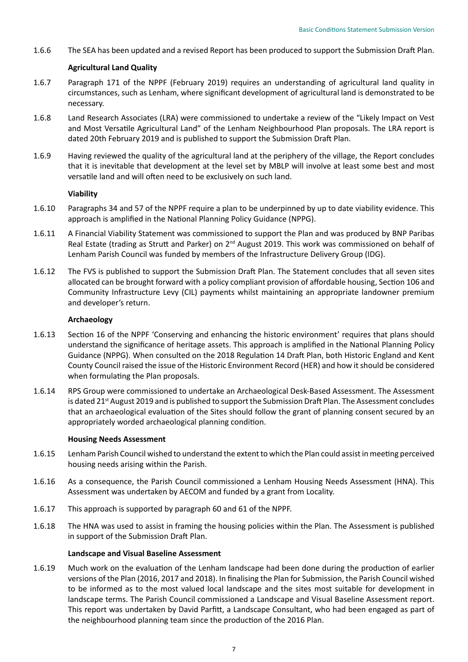1.6.6 The SEA has been updated and a revised Report has been produced to support the Submission Draft Plan.

#### **Agricultural Land Quality**

- 1.6.7 Paragraph 171 of the NPPF (February 2019) requires an understanding of agricultural land quality in circumstances, such as Lenham, where significant development of agricultural land is demonstrated to be necessary.
- 1.6.8 Land Research Associates (LRA) were commissioned to undertake a review of the "Likely Impact on Vest and Most Versatile Agricultural Land" of the Lenham Neighbourhood Plan proposals. The LRA report is dated 20th February 2019 and is published to support the Submission Draft Plan.
- 1.6.9 Having reviewed the quality of the agricultural land at the periphery of the village, the Report concludes that it is inevitable that development at the level set by MBLP will involve at least some best and most versatile land and will often need to be exclusively on such land.

#### **Viability**

- 1.6.10 Paragraphs 34 and 57 of the NPPF require a plan to be underpinned by up to date viability evidence. This approach is amplified in the National Planning Policy Guidance (NPPG).
- 1.6.11 A Financial Viability Statement was commissioned to support the Plan and was produced by BNP Paribas Real Estate (trading as Strutt and Parker) on 2<sup>nd</sup> August 2019. This work was commissioned on behalf of Lenham Parish Council was funded by members of the Infrastructure Delivery Group (IDG).
- 1.6.12 The FVS is published to support the Submission Draft Plan. The Statement concludes that all seven sites allocated can be brought forward with a policy compliant provision of affordable housing, Section 106 and Community Infrastructure Levy (CIL) payments whilst maintaining an appropriate landowner premium and developer's return.

#### **Archaeology**

- 1.6.13 Section 16 of the NPPF 'Conserving and enhancing the historic environment' requires that plans should understand the significance of heritage assets. This approach is amplified in the National Planning Policy Guidance (NPPG). When consulted on the 2018 Regulation 14 Draft Plan, both Historic England and Kent County Council raised the issue of the Historic Environment Record (HER) and how itshould be considered when formulating the Plan proposals.
- 1.6.14 RPS Group were commissioned to undertake an Archaeological Desk-Based Assessment. The Assessment is dated  $21<sup>st</sup>$  August 2019 and is published to support the Submission Draft Plan. The Assessment concludes that an archaeological evaluation of the Sites should follow the grant of planning consent secured by an appropriately worded archaeological planning condition.

#### **Housing Needs Assessment**

- 1.6.15 LenhamParish Council wished to understand the extentto which the Plan could assistinmeeting perceived housing needs arising within the Parish.
- 1.6.16 As a consequence, the Parish Council commissioned a Lenham Housing Needs Assessment (HNA). This Assessment was undertaken by AECOM and funded by a grant from Locality.
- 1.6.17 This approach is supported by paragraph 60 and 61 of the NPPF.
- 1.6.18 The HNA was used to assist in framing the housing policies within the Plan. The Assessment is published in support of the Submission Draft Plan.

#### **Landscape and Visual Baseline Assessment**

1.6.19 Much work on the evaluation of the Lenham landscape had been done during the production of earlier versions of the Plan (2016, 2017 and 2018). In finalising the Plan for Submission, the Parish Council wished to be informed as to the most valued local landscape and the sites most suitable for development in landscape terms. The Parish Council commissioned a Landscape and Visual Baseline Assessment report. This report was undertaken by David Parfitt, a Landscape Consultant, who had been engaged as part of the neighbourhood planning team since the production of the 2016 Plan.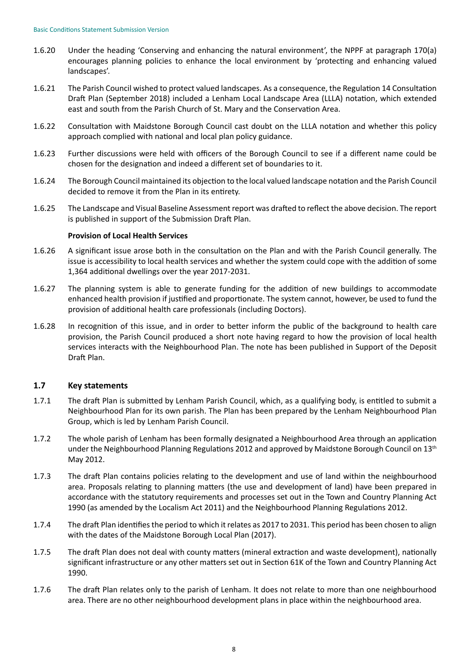- 1.6.20 Under the heading 'Conserving and enhancing the natural environment', the NPPF at paragraph 170(a) encourages planning policies to enhance the local environment by 'protecting and enhancing valued landscapes'.
- 1.6.21 The Parish Council wished to protect valued landscapes. As a consequence, the Regulation 14 Consultation Draft Plan (September 2018) included a Lenham Local Landscape Area (LLLA) notation, which extended east and south from the Parish Church of St. Mary and the Conservation Area.
- 1.6.22 Consultation with Maidstone Borough Council cast doubt on the LLLA notation and whether this policy approach complied with national and local plan policy guidance.
- 1.6.23 Further discussions were held with officers of the Borough Council to see if a different name could be chosen for the designation and indeed a different set of boundaries to it.
- 1.6.24 The Borough Council maintained its objection to the local valued landscape notation and the Parish Council decided to remove it from the Plan in its entirety.
- 1.6.25 The Landscape and Visual Baseline Assessment report was drafted to reflect the above decision. The report is published in support of the Submission Draft Plan.

#### **Provision of Local Health Services**

- 1.6.26 A significant issue arose both in the consultation on the Plan and with the Parish Council generally. The issue is accessibility to local health services and whether the system could cope with the addition of some 1,364 additional dwellings over the year 2017-2031.
- 1.6.27 The planning system is able to generate funding for the addition of new buildings to accommodate enhanced health provision if justified and proportionate. The system cannot, however, be used to fund the provision of additional health care professionals (including Doctors).
- 1.6.28 In recognition of this issue, and in order to better inform the public of the background to health care provision, the Parish Council produced a short note having regard to how the provision of local health services interacts with the Neighbourhood Plan. The note has been published in Support of the Deposit Draft Plan.

## **1.7 Key statements**

- 1.7.1 The draft Plan is submitted by Lenham Parish Council, which, as a qualifying body, is entitled to submit a Neighbourhood Plan for its own parish. The Plan has been prepared by the Lenham Neighbourhood Plan Group, which is led by Lenham Parish Council.
- 1.7.2 The whole parish of Lenham has been formally designated a Neighbourhood Area through an application under the Neighbourhood Planning Regulations 2012 and approved by Maidstone Borough Council on 13<sup>th</sup> May 2012.
- 1.7.3 The draft Plan contains policies relating to the development and use of land within the neighbourhood area. Proposals relating to planning matters (the use and development of land) have been prepared in accordance with the statutory requirements and processes set out in the Town and Country Planning Act 1990 (as amended by the Localism Act 2011) and the Neighbourhood Planning Regulations 2012.
- 1.7.4 The draft Plan identifiesthe period to which it relates as 2017 to 2031. This period has been chosen to align with the dates of the Maidstone Borough Local Plan (2017).
- 1.7.5 The draft Plan does not deal with county matters (mineral extraction and waste development), nationally significant infrastructure or any other matters set out in Section 61K of the Town and Country Planning Act 1990.
- 1.7.6 The draft Plan relates only to the parish of Lenham. It does not relate to more than one neighbourhood area. There are no other neighbourhood development plans in place within the neighbourhood area.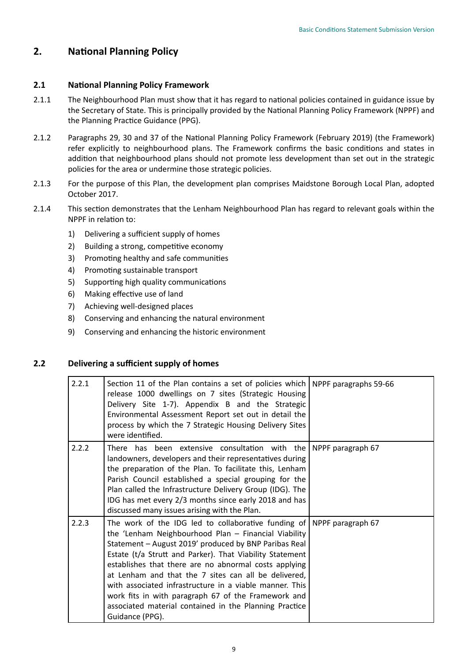## **2. National Planning Policy**

## **2.1 National Planning Policy Framework**

- 2.1.1 The Neighbourhood Plan must show that it has regard to national policies contained in guidance issue by the Secretary of State. This is principally provided by the National Planning Policy Framework (NPPF) and the Planning Practice Guidance (PPG).
- 2.1.2 Paragraphs 29, 30 and 37 of the National Planning Policy Framework (February 2019) (the Framework) refer explicitly to neighbourhood plans. The Framework confirms the basic conditions and states in addition that neighbourhood plans should not promote less development than set out in the strategic policies for the area or undermine those strategic policies.
- 2.1.3 For the purpose of this Plan, the development plan comprises Maidstone Borough Local Plan, adopted October 2017.
- 2.1.4 This section demonstrates that the Lenham Neighbourhood Plan has regard to relevant goals within the NPPF in relation to:
	- 1) Delivering a sufficient supply of homes
	- 2) Building a strong, competitive economy
	- 3) Promoting healthy and safe communities
	- 4) Promoting sustainable transport
	- 5) Supporting high quality communications
	- 6) Making effective use of land
	- 7) Achieving well-designed places
	- 8) Conserving and enhancing the natural environment
	- 9) Conserving and enhancing the historic environment

#### **2.2 Delivering a sufficient supply of homes**

| 2.2.1 | Section 11 of the Plan contains a set of policies which   NPPF paragraphs 59-66<br>release 1000 dwellings on 7 sites (Strategic Housing<br>Delivery Site 1-7). Appendix B and the Strategic<br>Environmental Assessment Report set out in detail the<br>process by which the 7 Strategic Housing Delivery Sites<br>were identified.                                                                                                                                                                                                                                |  |
|-------|--------------------------------------------------------------------------------------------------------------------------------------------------------------------------------------------------------------------------------------------------------------------------------------------------------------------------------------------------------------------------------------------------------------------------------------------------------------------------------------------------------------------------------------------------------------------|--|
| 2.2.2 | There has been extensive consultation with the NPPF paragraph 67<br>landowners, developers and their representatives during<br>the preparation of the Plan. To facilitate this, Lenham<br>Parish Council established a special grouping for the<br>Plan called the Infrastructure Delivery Group (IDG). The<br>IDG has met every 2/3 months since early 2018 and has<br>discussed many issues arising with the Plan.                                                                                                                                               |  |
| 2.2.3 | The work of the IDG led to collaborative funding of NPPF paragraph 67<br>the 'Lenham Neighbourhood Plan - Financial Viability<br>Statement - August 2019' produced by BNP Paribas Real<br>Estate (t/a Strutt and Parker). That Viability Statement<br>establishes that there are no abnormal costs applying<br>at Lenham and that the 7 sites can all be delivered,<br>with associated infrastructure in a viable manner. This<br>work fits in with paragraph 67 of the Framework and<br>associated material contained in the Planning Practice<br>Guidance (PPG). |  |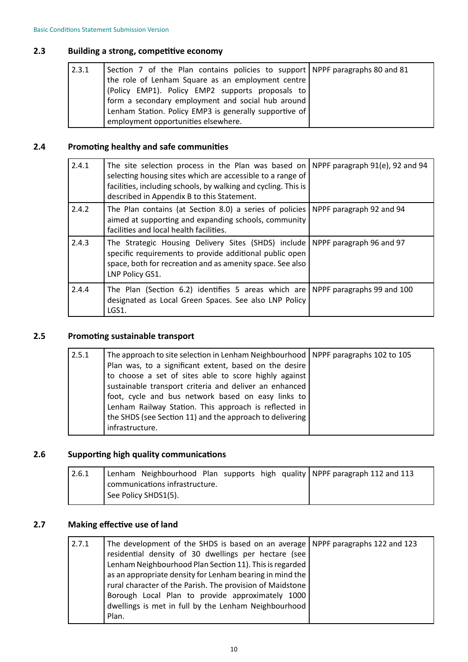## **2.3 Building a strong, competitive economy**

| 2.3.1 | Section 7 of the Plan contains policies to support   NPPF paragraphs 80 and 81 |  |
|-------|--------------------------------------------------------------------------------|--|
|       | the role of Lenham Square as an employment centre                              |  |
|       | (Policy EMP1). Policy EMP2 supports proposals to                               |  |
|       | form a secondary employment and social hub around                              |  |
|       | Lenham Station. Policy EMP3 is generally supportive of                         |  |
|       | employment opportunities elsewhere.                                            |  |

## **2.4 Promoting healthy and safe communities**

| 2.4.1 | The site selection process in the Plan was based on<br>selecting housing sites which are accessible to a range of<br>facilities, including schools, by walking and cycling. This is<br>described in Appendix B to this Statement. | NPPF paragraph 91(e), 92 and 94 |
|-------|-----------------------------------------------------------------------------------------------------------------------------------------------------------------------------------------------------------------------------------|---------------------------------|
| 2.4.2 | The Plan contains (at Section 8.0) a series of policies NPPF paragraph 92 and 94<br>aimed at supporting and expanding schools, community<br>facilities and local health facilities.                                               |                                 |
| 2.4.3 | The Strategic Housing Delivery Sites (SHDS) include NPPF paragraph 96 and 97<br>specific requirements to provide additional public open<br>space, both for recreation and as amenity space. See also<br>LNP Policy GS1.           |                                 |
| 2.4.4 | The Plan (Section 6.2) identifies 5 areas which are NPPF paragraphs 99 and 100<br>designated as Local Green Spaces. See also LNP Policy<br>LGS1.                                                                                  |                                 |

## **2.5 Promoting sustainable transport**

| 2.5.1 | The approach to site selection in Lenham Neighbourhood   NPPF paragraphs 102 to 105 |  |
|-------|-------------------------------------------------------------------------------------|--|
|       | Plan was, to a significant extent, based on the desire                              |  |
|       | to choose a set of sites able to score highly against                               |  |
|       | sustainable transport criteria and deliver an enhanced                              |  |
|       | foot, cycle and bus network based on easy links to                                  |  |
|       | Lenham Railway Station. This approach is reflected in                               |  |
|       | the SHDS (see Section 11) and the approach to delivering                            |  |
|       | infrastructure.                                                                     |  |

## **2.6 Supporting high quality communications**

| 2.6.1 |                                |  |  | Lenham Neighbourhood Plan supports high quality NPPF paragraph 112 and 113 |
|-------|--------------------------------|--|--|----------------------------------------------------------------------------|
|       | communications infrastructure. |  |  |                                                                            |
|       | See Policy SHDS1(5).           |  |  |                                                                            |

## **2.7 Making effective use of land**

| 2.7.1 | The development of the SHDS is based on an average NPPF paragraphs 122 and 123<br>residential density of 30 dwellings per hectare (see<br>Lenham Neighbourhood Plan Section 11). This is regarded                                          |  |
|-------|--------------------------------------------------------------------------------------------------------------------------------------------------------------------------------------------------------------------------------------------|--|
|       | as an appropriate density for Lenham bearing in mind the<br>rural character of the Parish. The provision of Maidstone<br>Borough Local Plan to provide approximately 1000<br>dwellings is met in full by the Lenham Neighbourhood<br>Plan. |  |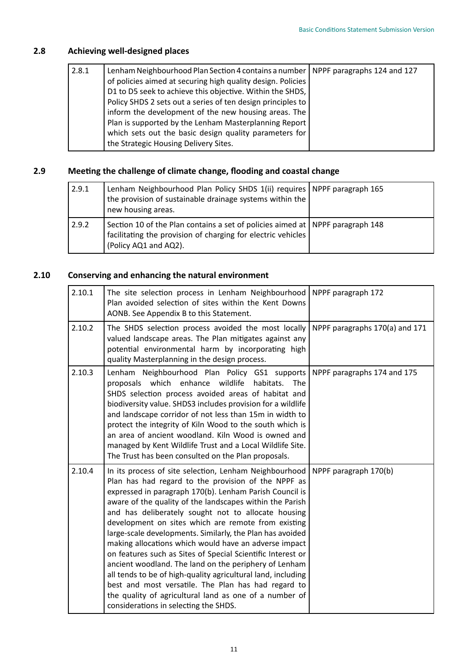## **2.8 Achieving well-designed places**

| 2.8.1 | Lenham Neighbourhood Plan Section 4 contains a number   NPPF paragraphs 124 and 127<br>of policies aimed at securing high quality design. Policies<br>D1 to D5 seek to achieve this objective. Within the SHDS,<br>Policy SHDS 2 sets out a series of ten design principles to<br>inform the development of the new housing areas. The<br>Plan is supported by the Lenham Masterplanning Report<br>which sets out the basic design quality parameters for<br>the Strategic Housing Delivery Sites. |  |
|-------|----------------------------------------------------------------------------------------------------------------------------------------------------------------------------------------------------------------------------------------------------------------------------------------------------------------------------------------------------------------------------------------------------------------------------------------------------------------------------------------------------|--|
|-------|----------------------------------------------------------------------------------------------------------------------------------------------------------------------------------------------------------------------------------------------------------------------------------------------------------------------------------------------------------------------------------------------------------------------------------------------------------------------------------------------------|--|

## **2.9 Meeting the challenge of climate change, flooding and coastal change**

| 2.9.1 | Lenham Neighbourhood Plan Policy SHDS 1(ii) requires   NPPF paragraph 165<br>the provision of sustainable drainage systems within the<br>new housing areas.              |  |
|-------|--------------------------------------------------------------------------------------------------------------------------------------------------------------------------|--|
| 2.9.2 | Section 10 of the Plan contains a set of policies aimed at   NPPF paragraph 148<br>facilitating the provision of charging for electric vehicles<br>(Policy AQ1 and AQ2). |  |

## **2.10 Conserving and enhancing the natural environment**

| 2.10.1 | The site selection process in Lenham Neighbourhood<br>Plan avoided selection of sites within the Kent Downs<br>AONB. See Appendix B to this Statement.                                                                                                                                                                                                                                                                                                                                                                                                                                                                                                                                                                                                                                                                     | NPPF paragraph 172             |
|--------|----------------------------------------------------------------------------------------------------------------------------------------------------------------------------------------------------------------------------------------------------------------------------------------------------------------------------------------------------------------------------------------------------------------------------------------------------------------------------------------------------------------------------------------------------------------------------------------------------------------------------------------------------------------------------------------------------------------------------------------------------------------------------------------------------------------------------|--------------------------------|
| 2.10.2 | The SHDS selection process avoided the most locally<br>valued landscape areas. The Plan mitigates against any<br>potential environmental harm by incorporating high<br>quality Masterplanning in the design process.                                                                                                                                                                                                                                                                                                                                                                                                                                                                                                                                                                                                       | NPPF paragraphs 170(a) and 171 |
| 2.10.3 | Lenham Neighbourhood Plan Policy GS1 supports<br>proposals which enhance wildlife<br>habitats.<br><b>The</b><br>SHDS selection process avoided areas of habitat and<br>biodiversity value. SHDS3 includes provision for a wildlife<br>and landscape corridor of not less than 15m in width to<br>protect the integrity of Kiln Wood to the south which is<br>an area of ancient woodland. Kiln Wood is owned and<br>managed by Kent Wildlife Trust and a Local Wildlife Site.<br>The Trust has been consulted on the Plan proposals.                                                                                                                                                                                                                                                                                       | NPPF paragraphs 174 and 175    |
| 2.10.4 | In its process of site selection, Lenham Neighbourhood<br>Plan has had regard to the provision of the NPPF as<br>expressed in paragraph 170(b). Lenham Parish Council is<br>aware of the quality of the landscapes within the Parish<br>and has deliberately sought not to allocate housing<br>development on sites which are remote from existing<br>large-scale developments. Similarly, the Plan has avoided<br>making allocations which would have an adverse impact<br>on features such as Sites of Special Scientific Interest or<br>ancient woodland. The land on the periphery of Lenham<br>all tends to be of high-quality agricultural land, including<br>best and most versatile. The Plan has had regard to<br>the quality of agricultural land as one of a number of<br>considerations in selecting the SHDS. | NPPF paragraph 170(b)          |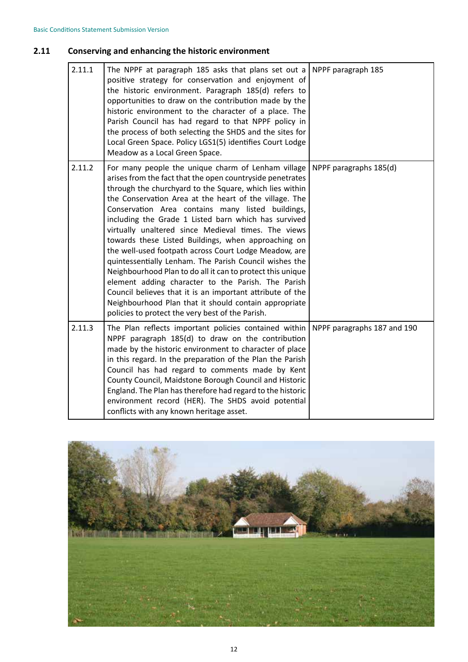## **2.11 Conserving and enhancing the historic environment**

| 2.11.1 | The NPPF at paragraph 185 asks that plans set out a<br>positive strategy for conservation and enjoyment of<br>the historic environment. Paragraph 185(d) refers to<br>opportunities to draw on the contribution made by the<br>historic environment to the character of a place. The<br>Parish Council has had regard to that NPPF policy in<br>the process of both selecting the SHDS and the sites for<br>Local Green Space. Policy LGS1(5) identifies Court Lodge<br>Meadow as a Local Green Space.                                                                                                                                                                                                                                                                                                                                                                           | NPPF paragraph 185          |
|--------|----------------------------------------------------------------------------------------------------------------------------------------------------------------------------------------------------------------------------------------------------------------------------------------------------------------------------------------------------------------------------------------------------------------------------------------------------------------------------------------------------------------------------------------------------------------------------------------------------------------------------------------------------------------------------------------------------------------------------------------------------------------------------------------------------------------------------------------------------------------------------------|-----------------------------|
| 2.11.2 | For many people the unique charm of Lenham village<br>arises from the fact that the open countryside penetrates<br>through the churchyard to the Square, which lies within<br>the Conservation Area at the heart of the village. The<br>Conservation Area contains many listed buildings,<br>including the Grade 1 Listed barn which has survived<br>virtually unaltered since Medieval times. The views<br>towards these Listed Buildings, when approaching on<br>the well-used footpath across Court Lodge Meadow, are<br>quintessentially Lenham. The Parish Council wishes the<br>Neighbourhood Plan to do all it can to protect this unique<br>element adding character to the Parish. The Parish<br>Council believes that it is an important attribute of the<br>Neighbourhood Plan that it should contain appropriate<br>policies to protect the very best of the Parish. | NPPF paragraphs 185(d)      |
| 2.11.3 | The Plan reflects important policies contained within<br>NPPF paragraph 185(d) to draw on the contribution<br>made by the historic environment to character of place<br>in this regard. In the preparation of the Plan the Parish<br>Council has had regard to comments made by Kent<br>County Council, Maidstone Borough Council and Historic<br>England. The Plan has therefore had regard to the historic<br>environment record (HER). The SHDS avoid potential<br>conflicts with any known heritage asset.                                                                                                                                                                                                                                                                                                                                                                   | NPPF paragraphs 187 and 190 |

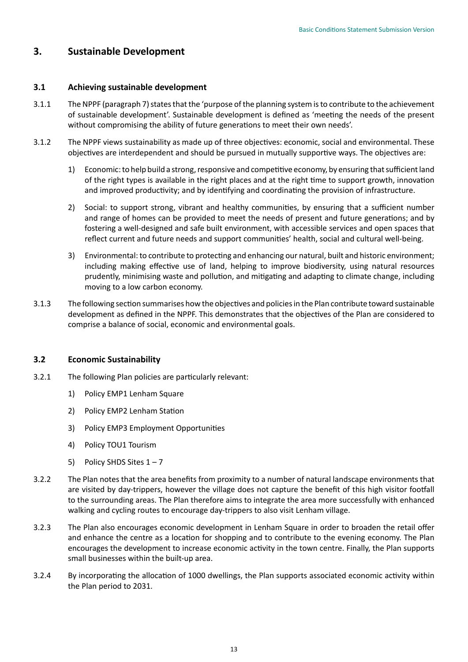## **3. Sustainable Development**

#### **3.1 Achieving sustainable development**

- 3.1.1 The NPPF (paragraph 7) states that the 'purpose of the planning system is to contribute to the achievement of sustainable development'. Sustainable development is defined as 'meeting the needs of the present without compromising the ability of future generations to meet their own needs'.
- 3.1.2 The NPPF views sustainability as made up of three objectives: economic, social and environmental. These objectives are interdependent and should be pursued in mutually supportive ways. The objectives are:
	- 1) Economic: to help build a strong, responsive and competitive economy, by ensuring that sufficient land of the right types is available in the right places and at the right time to support growth, innovation and improved productivity; and by identifying and coordinating the provision of infrastructure.
	- 2) Social: to support strong, vibrant and healthy communities, by ensuring that a sufficient number and range of homes can be provided to meet the needs of present and future generations; and by fostering a well-designed and safe built environment, with accessible services and open spaces that reflect current and future needs and support communities' health, social and cultural well-being.
	- 3) Environmental: to contribute to protecting and enhancing our natural, built and historic environment; including making effective use of land, helping to improve biodiversity, using natural resources prudently, minimising waste and pollution, and mitigating and adapting to climate change, including moving to a low carbon economy.
- 3.1.3 The following section summarises howthe objectives and policiesin the Plan contribute toward sustainable development as defined in the NPPF. This demonstrates that the objectives of the Plan are considered to comprise a balance of social, economic and environmental goals.

#### **3.2 Economic Sustainability**

- 3.2.1 The following Plan policies are particularly relevant:
	- 1) Policy EMP1 Lenham Square
	- 2) Policy EMP2 Lenham Station
	- 3) Policy EMP3 Employment Opportunities
	- 4) Policy TOU1 Tourism
	- 5) Policy SHDS Sites  $1 7$
- 3.2.2 The Plan notes that the area benefits from proximity to a number of natural landscape environments that are visited by day-trippers, however the village does not capture the benefit of this high visitor footfall to the surrounding areas. The Plan therefore aims to integrate the area more successfully with enhanced walking and cycling routes to encourage day-trippers to also visit Lenham village.
- 3.2.3 The Plan also encourages economic development in Lenham Square in order to broaden the retail offer and enhance the centre as a location for shopping and to contribute to the evening economy. The Plan encourages the development to increase economic activity in the town centre. Finally, the Plan supports small businesses within the built-up area.
- 3.2.4 By incorporating the allocation of 1000 dwellings, the Plan supports associated economic activity within the Plan period to 2031.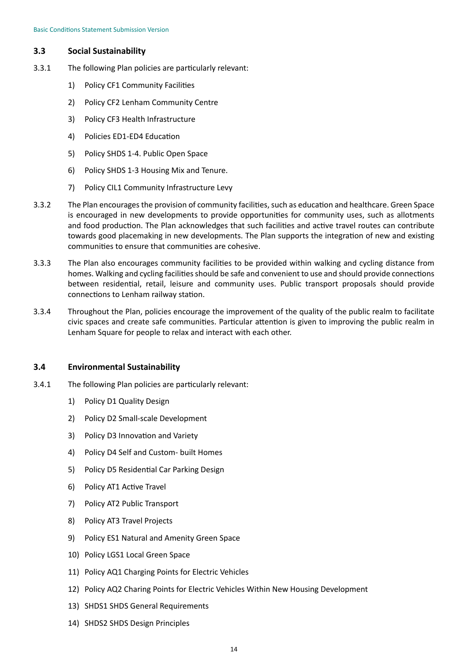#### **3.3 Social Sustainability**

- 3.3.1 The following Plan policies are particularly relevant:
	- 1) Policy CF1 Community Facilities
	- 2) Policy CF2 Lenham Community Centre
	- 3) Policy CF3 Health Infrastructure
	- 4) Policies ED1-ED4 Education
	- 5) Policy SHDS 1-4. Public Open Space
	- 6) Policy SHDS 1-3 Housing Mix and Tenure.
	- 7) Policy CIL1 Community Infrastructure Levy
- 3.3.2 The Plan encouragesthe provision of community facilities,such as education and healthcare. Green Space is encouraged in new developments to provide opportunities for community uses, such as allotments and food production. The Plan acknowledges that such facilities and active travel routes can contribute towards good placemaking in new developments. The Plan supports the integration of new and existing communities to ensure that communities are cohesive.
- 3.3.3 The Plan also encourages community facilities to be provided within walking and cycling distance from homes. Walking and cycling facilities should be safe and convenient to use and should provide connections between residential, retail, leisure and community uses. Public transport proposals should provide connections to Lenham railway station.
- 3.3.4 Throughout the Plan, policies encourage the improvement of the quality of the public realm to facilitate civic spaces and create safe communities. Particular attention is given to improving the public realm in Lenham Square for people to relax and interact with each other.

## **3.4 Environmental Sustainability**

- 3.4.1 The following Plan policies are particularly relevant:
	- 1) Policy D1 Quality Design
	- 2) Policy D2 Small-scale Development
	- 3) Policy D3 Innovation and Variety
	- 4) Policy D4 Self and Custom- built Homes
	- 5) Policy D5 Residential Car Parking Design
	- 6) Policy AT1 Active Travel
	- 7) Policy AT2 Public Transport
	- 8) Policy AT3 Travel Projects
	- 9) Policy ES1 Natural and Amenity Green Space
	- 10) Policy LGS1 Local Green Space
	- 11) Policy AQ1 Charging Points for Electric Vehicles
	- 12) Policy AQ2 Charing Points for Electric Vehicles Within New Housing Development
	- 13) SHDS1 SHDS General Requirements
	- 14) SHDS2 SHDS Design Principles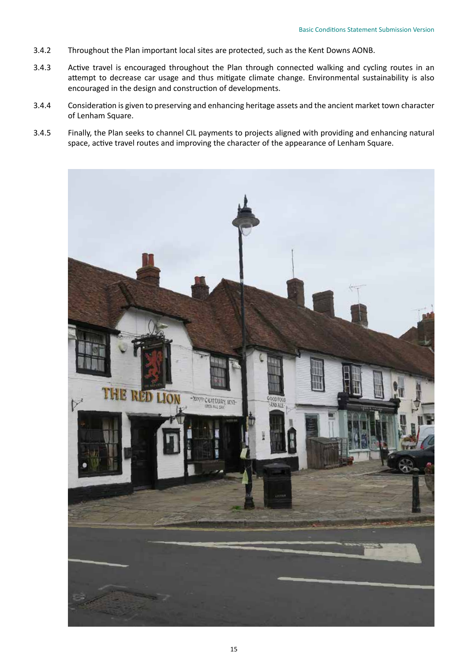- 3.4.2 Throughout the Plan important local sites are protected, such as the Kent Downs AONB.
- 3.4.3 Active travel is encouraged throughout the Plan through connected walking and cycling routes in an attempt to decrease car usage and thus mitigate climate change. Environmental sustainability is also encouraged in the design and construction of developments.
- 3.4.4 Consideration is given to preserving and enhancing heritage assets and the ancient market town character of Lenham Square.
- 3.4.5 Finally, the Plan seeks to channel CIL payments to projects aligned with providing and enhancing natural space, active travel routes and improving the character of the appearance of Lenham Square.

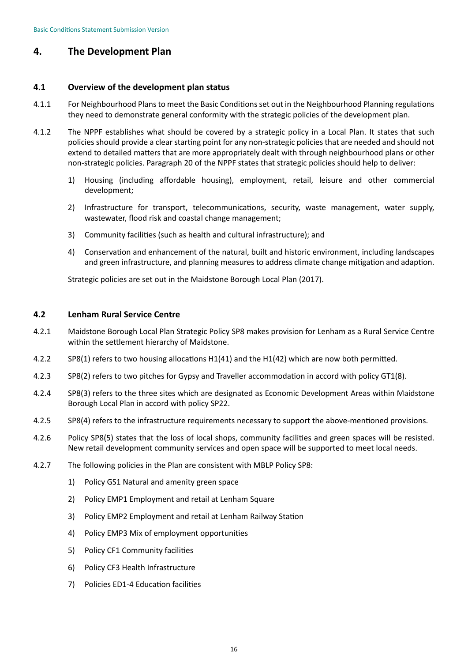## **4. The Development Plan**

## **4.1 Overview of the development plan status**

- 4.1.1 For Neighbourhood Plansto meet the Basic Conditionsset out in the Neighbourhood Planning regulations they need to demonstrate general conformity with the strategic policies of the development plan.
- 4.1.2 The NPPF establishes what should be covered by a strategic policy in a Local Plan. It states that such policies should provide a clear starting point for any non-strategic policies that are needed and should not extend to detailed matters that are more appropriately dealt with through neighbourhood plans or other non-strategic policies. Paragraph 20 of the NPPF states that strategic policies should help to deliver:
	- 1) Housing (including affordable housing), employment, retail, leisure and other commercial development;
	- 2) Infrastructure for transport, telecommunications, security, waste management, water supply, wastewater, flood risk and coastal change management;
	- 3) Community facilities (such as health and cultural infrastructure); and
	- 4) Conservation and enhancement of the natural, built and historic environment, including landscapes and green infrastructure, and planning measures to address climate change mitigation and adaption.

 Strategic policies are set out in the Maidstone Borough Local Plan (2017).

## **4.2 Lenham Rural Service Centre**

- 4.2.1 Maidstone Borough Local Plan Strategic Policy SP8 makes provision for Lenham as a Rural Service Centre within the settlement hierarchy of Maidstone.
- 4.2.2 SP8(1) refers to two housing allocations H1(41) and the H1(42) which are now both permitted.
- 4.2.3 SP8(2) refers to two pitches for Gypsy and Traveller accommodation in accord with policy GT1(8).
- 4.2.4 SP8(3) refers to the three sites which are designated as Economic Development Areas within Maidstone Borough Local Plan in accord with policy SP22.
- 4.2.5 SP8(4) refers to the infrastructure requirements necessary to support the above-mentioned provisions.
- 4.2.6 Policy SP8(5) states that the loss of local shops, community facilities and green spaces will be resisted. New retail development community services and open space will be supported to meet local needs.
- 4.2.7 The following policies in the Plan are consistent with MBLP Policy SP8:
	- 1) Policy GS1 Natural and amenity green space
	- 2) Policy EMP1 Employment and retail at Lenham Square
	- 3) Policy EMP2 Employment and retail at Lenham Railway Station
	- 4) Policy EMP3 Mix of employment opportunities
	- 5) Policy CF1 Community facilities
	- 6) Policy CF3 Health Infrastructure
	- 7) Policies ED1-4 Education facilities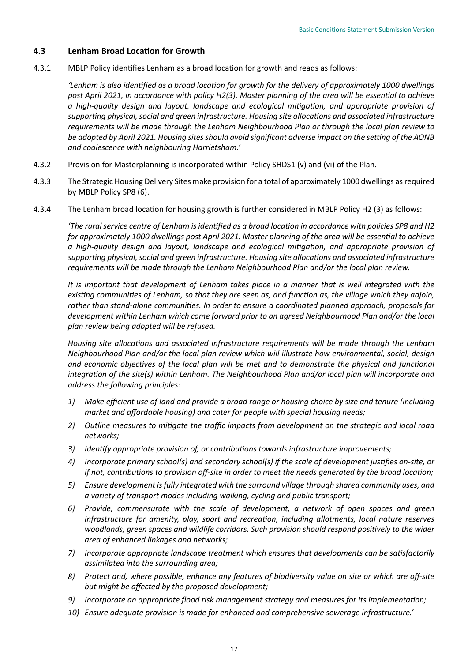#### **4.3 Lenham Broad Location for Growth**

4.3.1 MBLP Policy identifies Lenham as a broad location for growth and reads as follows:

'Lenham is also identified as a broad location for growth for the delivery of approximately 1000 dwellings post April 2021, in accordance with policy H2(3). Master planning of the area will be essential to achieve *a high-quality design and layout, landscape and ecological mitigation, and appropriate provision of supporting physical,social and green infrastructure. Housing site allocations and associated infrastructure requirements will be made through the Lenham Neighbourhood Plan or through the local plan review to be adopted by April 2021. Housing sitesshould avoid significant adverse impact on the setting of the AONB and coalescence with neighbouring Harrietsham.'*

- 4.3.2 Provision for Masterplanning is incorporated within Policy SHDS1 (v) and (vi) of the Plan.
- 4.3.3 The Strategic Housing Delivery Sites make provision for a total of approximately 1000 dwellings asrequired by MBLP Policy SP8 (6).
- 4.3.4 The Lenham broad location for housing growth is further considered in MBLP Policy H2 (3) as follows:

'The rural service centre of Lenham is identified as a broad location in accordance with policies SP8 and H2 for approximately 1000 dwellings post April 2021. Master planning of the area will be essential to achieve *a high-quality design and layout, landscape and ecological mitigation, and appropriate provision of supporting physical,social and green infrastructure. Housing site allocations and associated infrastructure requirements will be made through the Lenham Neighbourhood Plan and/or the local plan review.*

It is important that development of Lenham takes place in a manner that is well integrated with the existing communities of Lenham, so that they are seen as, and function as, the village which they adjoin, *rather than stand-alone communities. In order to ensure a coordinated planned approach, proposals for development within Lenham which come forward prior to an agreed Neighbourhood Plan and/or the local plan review being adopted will be refused.*

 *Housing site allocations and associated infrastructure requirements will be made through the Lenham Neighbourhood Plan and/or the local plan review which will illustrate how environmental, social, design and economic objectives of the local plan will be met and to demonstrate the physical and functional integration of the site(s) within Lenham. The Neighbourhood Plan and/or local plan will incorporate and address the following principles:*

- 1) Make efficient use of land and provide a broad range or housing choice by size and tenure (including *market and affordable housing) and cater for people with special housing needs;*
- *2) Outline measures to mitigate the traffic impacts from development on the strategic and local road networks;*
- *3) Identify appropriate provision of, or contributions towards infrastructure improvements;*
- *4) Incorporate primary school(s) and secondary school(s) if the scale of development justifies on-site, or if not, contributions to provision off-site in order to meet the needs generated by the broad location;*
- *5) Ensure development isfully integrated with the surround village through shared community uses, and a variety of transport modes including walking, cycling and public transport;*
- *6) Provide, commensurate with the scale of development, a network of open spaces and green infrastructure for amenity, play, sport and recreation, including allotments, local nature reserves woodlands, green spaces and wildlife corridors. Such provision should respond positively to the wider area of enhanced linkages and networks;*
- *7) Incorporate appropriate landscape treatment which ensures that developments can be satisfactorily assimilated into the surrounding area;*
- *8) Protect and, where possible, enhance any features of biodiversity value on site or which are off-site but might be affected by the proposed development;*
- *9) Incorporate an appropriate flood risk management strategy and measures for its implementation;*
- *10) Ensure adequate provision is made for enhanced and comprehensive sewerage infrastructure.'*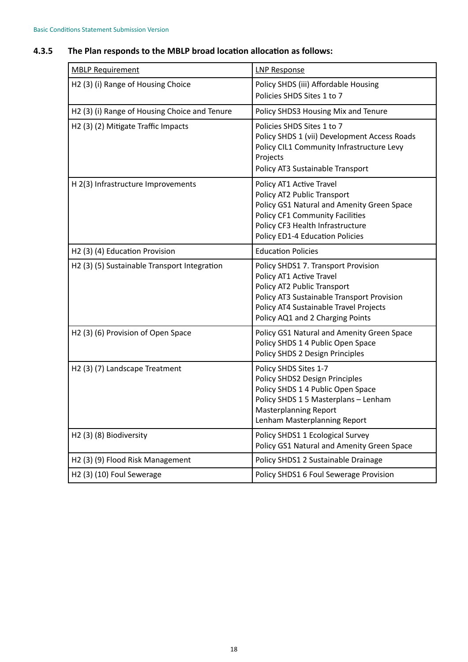## **4.3.5 The Plan responds to the MBLP broad location allocation as follows:**

| <b>MBLP Requirement</b>                       | <b>LNP Response</b>                                                                                                                                                                                                           |
|-----------------------------------------------|-------------------------------------------------------------------------------------------------------------------------------------------------------------------------------------------------------------------------------|
| H2 (3) (i) Range of Housing Choice            | Policy SHDS (iii) Affordable Housing<br>Policies SHDS Sites 1 to 7                                                                                                                                                            |
| H2 (3) (i) Range of Housing Choice and Tenure | Policy SHDS3 Housing Mix and Tenure                                                                                                                                                                                           |
| H2 (3) (2) Mitigate Traffic Impacts           | Policies SHDS Sites 1 to 7<br>Policy SHDS 1 (vii) Development Access Roads<br>Policy CIL1 Community Infrastructure Levy<br>Projects<br>Policy AT3 Sustainable Transport                                                       |
| H 2(3) Infrastructure Improvements            | Policy AT1 Active Travel<br>Policy AT2 Public Transport<br>Policy GS1 Natural and Amenity Green Space<br><b>Policy CF1 Community Facilities</b><br>Policy CF3 Health Infrastructure<br><b>Policy ED1-4 Education Policies</b> |
| H2 (3) (4) Education Provision                | <b>Education Policies</b>                                                                                                                                                                                                     |
| H2 (3) (5) Sustainable Transport Integration  | Policy SHDS1 7. Transport Provision<br>Policy AT1 Active Travel<br>Policy AT2 Public Transport<br>Policy AT3 Sustainable Transport Provision<br>Policy AT4 Sustainable Travel Projects<br>Policy AQ1 and 2 Charging Points    |
| H2 (3) (6) Provision of Open Space            | Policy GS1 Natural and Amenity Green Space<br>Policy SHDS 1 4 Public Open Space<br>Policy SHDS 2 Design Principles                                                                                                            |
| H2 (3) (7) Landscape Treatment                | Policy SHDS Sites 1-7<br>Policy SHDS2 Design Principles<br>Policy SHDS 1 4 Public Open Space<br>Policy SHDS 1 5 Masterplans - Lenham<br><b>Masterplanning Report</b><br>Lenham Masterplanning Report                          |
| H2 (3) (8) Biodiversity                       | Policy SHDS1 1 Ecological Survey<br>Policy GS1 Natural and Amenity Green Space                                                                                                                                                |
| H <sub>2</sub> (3) (9) Flood Risk Management  | Policy SHDS1 2 Sustainable Drainage                                                                                                                                                                                           |
| H2 (3) (10) Foul Sewerage                     | Policy SHDS1 6 Foul Sewerage Provision                                                                                                                                                                                        |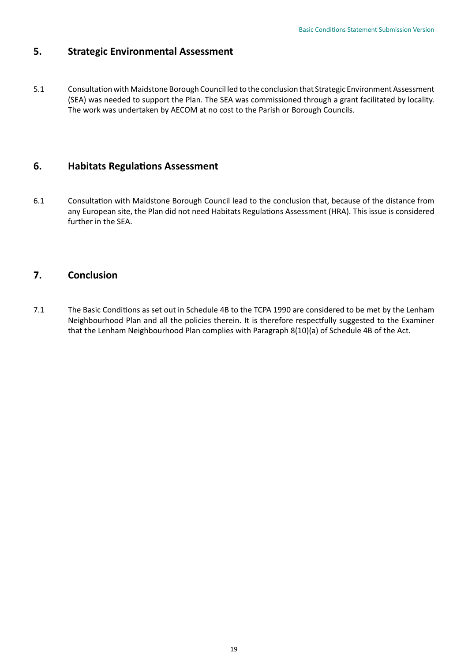## **5. Strategic Environmental Assessment**

5.1 Consultation with Maidstone Borough Council led to the conclusion that Strategic Environment Assessment (SEA) was needed to support the Plan. The SEA was commissioned through a grant facilitated by locality. The work was undertaken by AECOM at no cost to the Parish or Borough Councils.

## **6. Habitats Regulations Assessment**

6.1 Consultation with Maidstone Borough Council lead to the conclusion that, because of the distance from any European site, the Plan did not need Habitats Regulations Assessment (HRA). This issue is considered further in the SEA.

## **7. Conclusion**

7.1 The Basic Conditions as set out in Schedule 4B to the TCPA 1990 are considered to be met by the Lenham Neighbourhood Plan and all the policies therein. It is therefore respectfully suggested to the Examiner that the Lenham Neighbourhood Plan complies with Paragraph 8(10)(a) of Schedule 4B of the Act.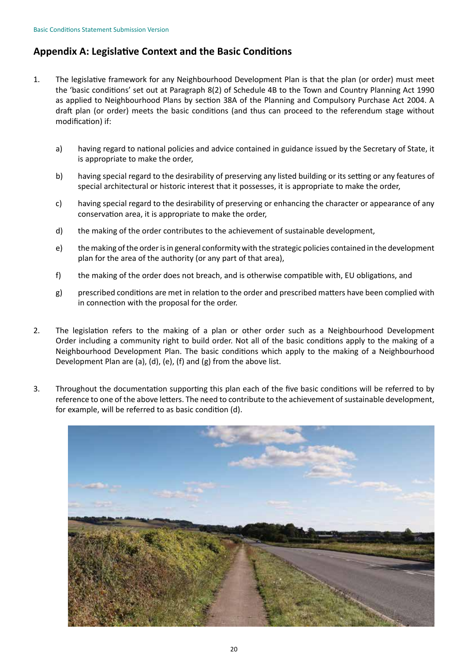## **Appendix A: Legislative Context and the Basic Conditions**

- 1. The legislative framework for any Neighbourhood Development Plan is that the plan (or order) must meet the 'basic conditions' set out at Paragraph 8(2) of Schedule 4B to the Town and Country Planning Act 1990 as applied to Neighbourhood Plans by section 38A of the Planning and Compulsory Purchase Act 2004. A draft plan (or order) meets the basic conditions (and thus can proceed to the referendum stage without modification) if:
	- a) having regard to national policies and advice contained in guidance issued by the Secretary of State, it is appropriate to make the order,
	- b) having special regard to the desirability of preserving any listed building or its setting or any features of special architectural or historic interest that it possesses, it is appropriate to make the order,
	- c) having special regard to the desirability of preserving or enhancing the character or appearance of any conservation area, it is appropriate to make the order,
	- d) the making of the order contributes to the achievement of sustainable development,
	- e) themaking ofthe orderisin general conformity with the strategic policies contained in the development plan for the area of the authority (or any part of that area),
	- f) the making of the order does not breach, and is otherwise compatible with, EU obligations, and
	- g) prescribed conditions are met in relation to the order and prescribed matters have been complied with in connection with the proposal for the order.
- 2. The legislation refers to the making of a plan or other order such as a Neighbourhood Development Order including a community right to build order. Not all of the basic conditions apply to the making of a Neighbourhood Development Plan. The basic conditions which apply to the making of a Neighbourhood Development Plan are (a), (d), (e), (f) and (g) from the above list.
- 3. Throughout the documentation supporting this plan each of the five basic conditions will be referred to by reference to one of the above letters. The need to contribute to the achievement of sustainable development, for example, will be referred to as basic condition (d).

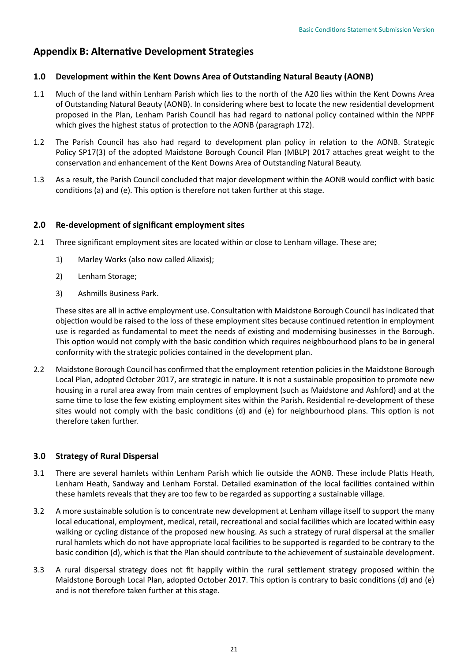## **Appendix B: Alternative Development Strategies**

## **1.0 Development within the Kent Downs Area of Outstanding Natural Beauty (AONB)**

- 1.1 Much of the land within Lenham Parish which lies to the north of the A20 lies within the Kent Downs Area of Outstanding Natural Beauty (AONB). In considering where best to locate the new residential development proposed in the Plan, Lenham Parish Council has had regard to national policy contained within the NPPF which gives the highest status of protection to the AONB (paragraph 172).
- 1.2 The Parish Council has also had regard to development plan policy in relation to the AONB. Strategic Policy SP17(3) of the adopted Maidstone Borough Council Plan (MBLP) 2017 attaches great weight to the conservation and enhancement of the Kent Downs Area of Outstanding Natural Beauty.
- 1.3 As a result, the Parish Council concluded that major development within the AONB would conflict with basic conditions (a) and (e). This option is therefore not taken further at this stage.

## **2.0 Re-development of significant employment sites**

- 2.1 Three significant employment sites are located within or close to Lenham village. These are;
	- 1) Marley Works (also now called Aliaxis);
	- 2) Lenham Storage;
	- 3) Ashmills Business Park.

 These sites are all in active employment use. Consultation with Maidstone Borough Council hasindicated that objection would be raised to the loss of these employment sites because continued retention in employment use is regarded as fundamental to meet the needs of existing and modernising businesses in the Borough. This option would not comply with the basic condition which requires neighbourhood plans to be in general conformity with the strategic policies contained in the development plan.

2.2 Maidstone Borough Council has confirmed that the employment retention policies in the Maidstone Borough Local Plan, adopted October 2017, are strategic in nature. It is not a sustainable proposition to promote new housing in a rural area away from main centres of employment (such as Maidstone and Ashford) and at the same time to lose the few existing employment sites within the Parish. Residential re-development of these sites would not comply with the basic conditions (d) and (e) for neighbourhood plans. This option is not therefore taken further.

## **3.0 Strategy of Rural Dispersal**

- 3.1 There are several hamlets within Lenham Parish which lie outside the AONB. These include Platts Heath, Lenham Heath, Sandway and Lenham Forstal. Detailed examination of the local facilities contained within these hamlets reveals that they are too few to be regarded as supporting a sustainable village.
- 3.2 A more sustainable solution is to concentrate new development at Lenham village itself to support the many local educational, employment, medical, retail, recreational and social facilities which are located within easy walking or cycling distance of the proposed new housing. As such a strategy of rural dispersal at the smaller rural hamlets which do not have appropriate local facilities to be supported is regarded to be contrary to the basic condition (d), which is that the Plan should contribute to the achievement of sustainable development.
- 3.3 A rural dispersal strategy does not fit happily within the rural settlement strategy proposed within the Maidstone Borough Local Plan, adopted October 2017. This option is contrary to basic conditions (d) and (e) and is not therefore taken further at this stage.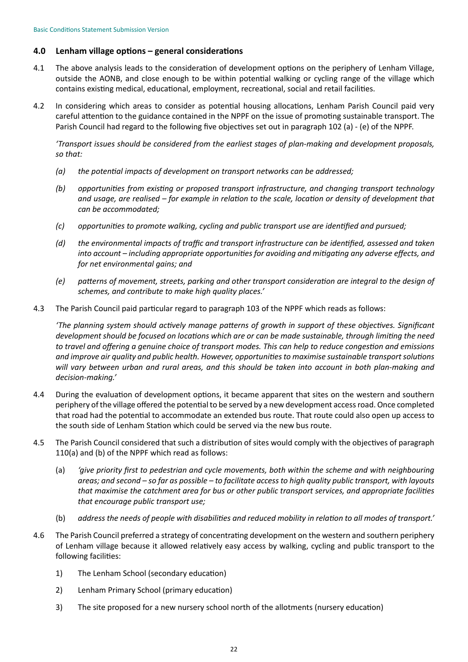## **4.0 Lenham village options – general considerations**

- 4.1 The above analysis leads to the consideration of development options on the periphery of Lenham Village, outside the AONB, and close enough to be within potential walking or cycling range of the village which contains existing medical, educational, employment, recreational, social and retail facilities.
- 4.2 In considering which areas to consider as potential housing allocations, Lenham Parish Council paid very careful attention to the guidance contained in the NPPF on the issue of promoting sustainable transport. The Parish Council had regard to the following five objectives set out in paragraph 102 (a) - (e) of the NPPF.

*'Transport issues should be considered from the earliest stages of plan-making and development proposals, so that:*

- *(a) the potential impacts of development on transport networks can be addressed;*
- *(b) opportunities from existing or proposed transport infrastructure, and changing transport technology* and usage, are realised – for example in relation to the scale, location or density of development that *can be accommodated;*
- *(c) opportunities to promote walking, cycling and public transport use are identified and pursued;*
- *(d) the environmental impacts of traffic and transport infrastructure can be identified, assessed and taken into account – including appropriate opportunities for avoiding and mitigating any adverse effects, and for net environmental gains; and*
- *(e) patterns of movement, streets, parking and other transport consideration are integral to the design of schemes, and contribute to make high quality places.'*
- 4.3 The Parish Council paid particular regard to paragraph 103 of the NPPF which reads as follows:

*'The planning system should actively manage patterns of growth in support of these objectives. Significant* development should be focused on locations which are or can be made sustainable, through limiting the need to travel and offering a genuine choice of transport modes. This can help to reduce congestion and emissions *and improve air quality and public health. However, opportunitiesto maximise sustainable transportsolutions* will vary between urban and rural areas, and this should be taken into account in both plan-making and *decision-making.'*

- 4.4 During the evaluation of development options, it became apparent that sites on the western and southern periphery of the village offered the potential to be served by a new development access road. Once completed that road had the potential to accommodate an extended bus route. That route could also open up access to the south side of Lenham Station which could be served via the new bus route.
- 4.5 The Parish Council considered that such a distribution of sites would comply with the objectives of paragraph 110(a) and (b) of the NPPF which read as follows:
	- (a) *'give priority first to pedestrian and cycle movements, both within the scheme and with neighbouring* areas; and second – so far as possible – to facilitate access to high quality public transport, with layouts *that maximise the catchment area for bus or other public transport services, and appropriate facilities that encourage public transport use;*
	- (b) address the needs of people with disabilities and reduced mobility in relation to all modes of transport.'
- 4.6 The Parish Council preferred a strategy of concentrating development on the western and southern periphery of Lenham village because it allowed relatively easy access by walking, cycling and public transport to the following facilities:
	- 1) The Lenham School (secondary education)
	- 2) Lenham Primary School (primary education)
	- 3) The site proposed for a new nursery school north of the allotments (nursery education)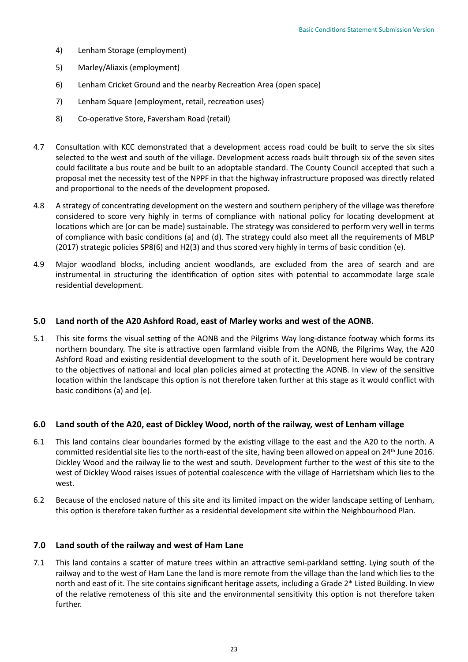- 4) Lenham Storage (employment)
- 5) Marley/Aliaxis (employment)
- 6) Lenham Cricket Ground and the nearby Recreation Area (open space)
- 7) Lenham Square (employment, retail, recreation uses)
- 8) Co-operative Store, Faversham Road (retail)
- 4.7 Consultation with KCC demonstrated that a development access road could be built to serve the six sites selected to the west and south of the village. Development access roads built through six of the seven sites could facilitate a bus route and be built to an adoptable standard. The County Council accepted that such a proposal met the necessity test of the NPPF in that the highway infrastructure proposed was directly related and proportional to the needs of the development proposed.
- 4.8 A strategy of concentrating development on the western and southern periphery of the village was therefore considered to score very highly in terms of compliance with national policy for locating development at locations which are (or can be made) sustainable. The strategy was considered to perform very well in terms of compliance with basic conditions (a) and (d). The strategy could also meet all the requirements of MBLP (2017) strategic policies SP8(6) and H2(3) and thus scored very highly in terms of basic condition (e).
- 4.9 Major woodland blocks, including ancient woodlands, are excluded from the area of search and are instrumental in structuring the identification of option sites with potential to accommodate large scale residential development.

## **5.0 Land north of the A20 Ashford Road, east of Marley works and west of the AONB.**

5.1 This site forms the visual setting of the AONB and the Pilgrims Way long-distance footway which forms its northern boundary. The site is attractive open farmland visible from the AONB, the Pilgrims Way, the A20 Ashford Road and existing residential development to the south of it. Development here would be contrary to the objectives of national and local plan policies aimed at protecting the AONB. In view of the sensitive location within the landscape this option is not therefore taken further at this stage as it would conflict with basic conditions (a) and (e).

#### **6.0 Land south of the A20, east of Dickley Wood, north of the railway, west of Lenham village**

- 6.1 This land contains clear boundaries formed by the existing village to the east and the A20 to the north. A committed residential site lies to the north-east of the site, having been allowed on appeal on 24<sup>th</sup> June 2016. Dickley Wood and the railway lie to the west and south. Development further to the west of this site to the west of Dickley Wood raises issues of potential coalescence with the village of Harrietsham which lies to the west.
- 6.2 Because of the enclosed nature of this site and its limited impact on the wider landscape setting of Lenham, this option is therefore taken further as a residential development site within the Neighbourhood Plan.

#### **7.0 Land south of the railway and west of Ham Lane**

7.1 This land contains a scatter of mature trees within an attractive semi-parkland setting. Lying south of the railway and to the west of Ham Lane the land is more remote from the village than the land which lies to the north and east of it. The site contains significant heritage assets, including a Grade 2\* Listed Building. In view of the relative remoteness of this site and the environmental sensitivity this option is not therefore taken further.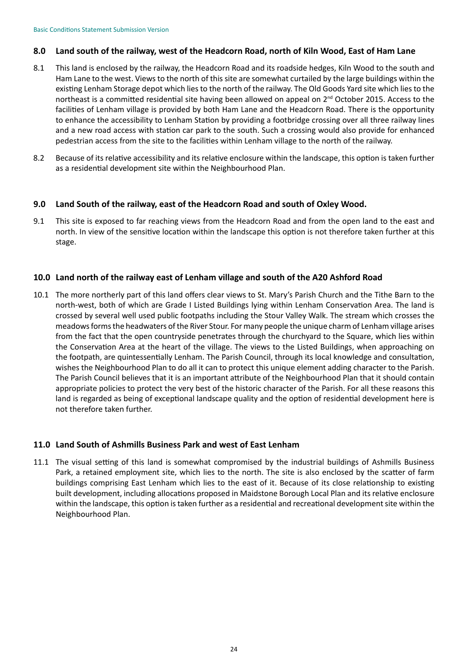## **8.0 Land south of the railway, west of the Headcorn Road, north of Kiln Wood, East of Ham Lane**

- 8.1 This land is enclosed by the railway, the Headcorn Road and its roadside hedges, Kiln Wood to the south and Ham Lane to the west. Views to the north of this site are somewhat curtailed by the large buildings within the existing Lenham Storage depot which lies to the north of the railway. The Old Goods Yard site which lies to the northeast is a committed residential site having been allowed on appeal on 2<sup>nd</sup> October 2015. Access to the facilities of Lenham village is provided by both Ham Lane and the Headcorn Road. There is the opportunity to enhance the accessibility to Lenham Station by providing a footbridge crossing over all three railway lines and a new road access with station car park to the south. Such a crossing would also provide for enhanced pedestrian access from the site to the facilities within Lenham village to the north of the railway.
- 8.2 Because of its relative accessibility and its relative enclosure within the landscape, this option is taken further as a residential development site within the Neighbourhood Plan.

## **9.0 Land South of the railway, east of the Headcorn Road and south of Oxley Wood.**

9.1 This site is exposed to far reaching views from the Headcorn Road and from the open land to the east and north. In view of the sensitive location within the landscape this option is not therefore taken further at this stage.

## **10.0 Land north of the railway east of Lenham village and south of the A20 Ashford Road**

10.1 The more northerly part of this land offers clear views to St. Mary's Parish Church and the Tithe Barn to the north-west, both of which are Grade I Listed Buildings lying within Lenham Conservation Area. The land is crossed by several well used public footpaths including the Stour Valley Walk. The stream which crosses the meadowsformsthe headwaters ofthe River Stour. For many people the unique charm of Lenham village arises from the fact that the open countryside penetrates through the churchyard to the Square, which lies within the Conservation Area at the heart of the village. The views to the Listed Buildings, when approaching on the footpath, are quintessentially Lenham. The Parish Council, through its local knowledge and consultation, wishes the Neighbourhood Plan to do all it can to protect this unique element adding character to the Parish. The Parish Council believes that it is an important attribute of the Neighbourhood Plan that it should contain appropriate policies to protect the very best of the historic character of the Parish. For all these reasons this land is regarded as being of exceptional landscape quality and the option of residential development here is not therefore taken further.

## **11.0 Land South of Ashmills Business Park and west of East Lenham**

11.1 The visual setting of this land is somewhat compromised by the industrial buildings of Ashmills Business Park, a retained employment site, which lies to the north. The site is also enclosed by the scatter of farm buildings comprising East Lenham which lies to the east of it. Because of its close relationship to existing built development, including allocations proposed in Maidstone Borough Local Plan and its relative enclosure within the landscape, this option is taken further as a residential and recreational development site within the Neighbourhood Plan.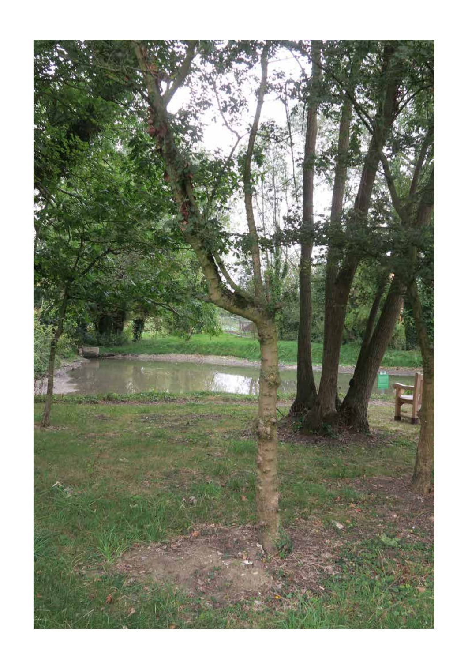